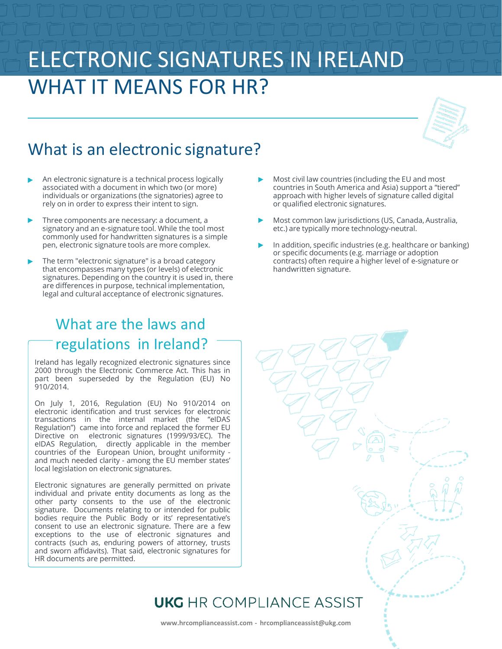# ELECTRONIC SIGNATURES IN IRELAND WHAT IT MEANS FOR HR?



- An electronic signature is a technical process logically associated with a document in which two (or more) individuals or organizations (the signatories) agree to rely on in order to express their intent to sign.
- Three components are necessary: a document, a signatory and an e-signature tool. While the tool most commonly used for handwritten signatures is a simple pen, electronic signature tools are more complex.
- The term "electronic signature" is a broad category that encompasses many types (or levels) of electronic signatures. Depending on the country it is used in, there are differences in purpose, technical implementation, legal and cultural acceptance of electronic signatures.

### What are the laws and regulations in Ireland?

Ireland has legally recognized electronic signatures since 2000 through the Electronic Commerce Act. This has in part been superseded by the Regulation (EU) No 910/2014.

On July 1, 2016, Regulation (EU) No 910/2014 on electronic identification and trust services for electronic transactions in the internal market (the "eIDAS Regulation") came into force and replaced the former EU Directive on electronic signatures (1999/93/EC). The eIDAS Regulation, directly applicable in the member countries of the European Union, brought uniformity and much needed clarity - among the EU member states' local legislation on electronic signatures.

Electronic signatures are generally permitted on private individual and private entity documents as long as the other party consents to the use of the electronic signature. Documents relating to or intended for public bodies require the Public Body or its' representative's consent to use an electronic signature. There are a few exceptions to the use of electronic signatures and contracts (such as, enduring powers of attorney, trusts and sworn affidavits). That said, electronic signatures for HR documents are permitted.

- Most civil law countries (including the EU and most countries in South America and Asia) support a "tiered" approach with higher levels of signature called digital or qualified electronic signatures.
- Most common law jurisdictions (US, Canada, Australia, etc.) are typically more technology-neutral.
- In addition, specific industries (e.g. healthcare or banking) or specific documents (e.g. marriage or adoption contracts) often require a higher level of e-signature or handwritten signature.



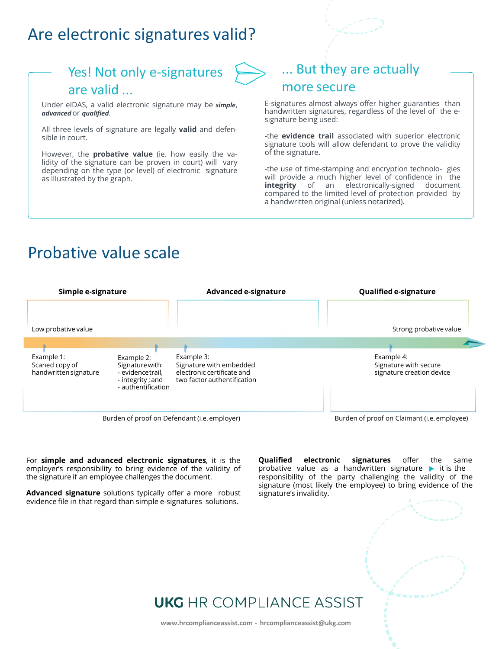### Are electronic signatures valid?



#### are valid ...

Under eIDAS, a valid electronic signature may be *simple*, *advanced* or *qualified*.

All three levels of signature are legally **valid** and defensible in court.

However, the **probative value** (ie. how easily the validity of the signature can be proven in court) will vary depending on the type (or level) of electronic signature as illustrated by the graph.

# ... But they are actually

#### more secure

E-signatures almost always offer higher guaranties than handwritten signatures, regardless of the level of the esignature being used:

-the **evidence trail** associated with superior electronic signature tools will allow defendant to prove the validity of the signature.

-the use of time-stamping and encryption technolo- gies will provide a much higher level of confidence in the **integrity** of an electronically-signed document compared to the limited level of protection provided by a handwritten original (unless notarized).

## Probative value scale



For **simple and advanced electronic signatures**, it is the employer's responsibility to bring evidence of the validity of the signature if an employee challenges the document.

**Advanced signature** solutions typically offer a more robust evidence file in that regard than simple e-signatures solutions.

**Qualified electronic signatures** offer the same probative value as a handwritten signature  $\blacktriangleright$  it is the responsibility of the party challenging the validity of the signature (most likely the employee) to bring evidence of the signature's invalidity.

### **UKG** HR COMPLIANCE ASSIST

**www.hrcomplianceassist.com - hrcomplianceassist@ukg.com**